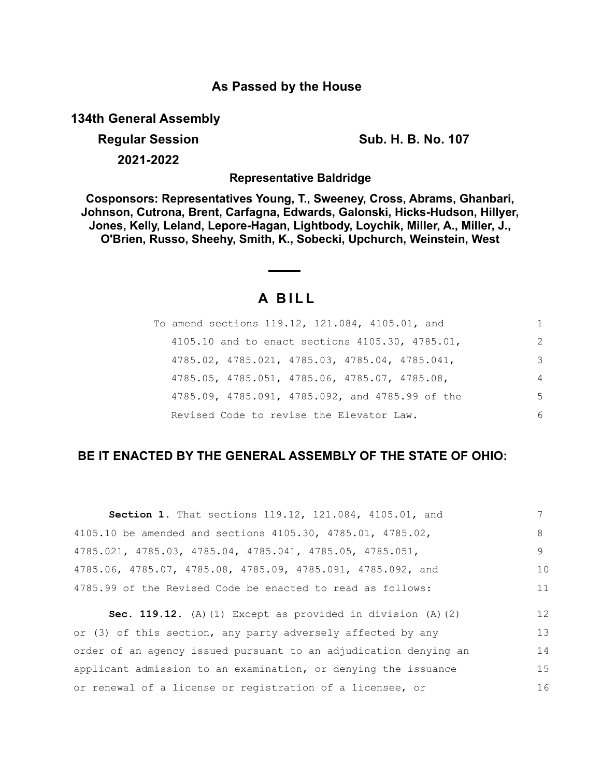### **As Passed by the House**

**134th General Assembly**

**Regular Session Sub. H. B. No. 107 2021-2022**

**Representative Baldridge**

**Cosponsors: Representatives Young, T., Sweeney, Cross, Abrams, Ghanbari, Johnson, Cutrona, Brent, Carfagna, Edwards, Galonski, Hicks-Hudson, Hillyer, Jones, Kelly, Leland, Lepore-Hagan, Lightbody, Loychik, Miller, A., Miller, J., O'Brien, Russo, Sheehy, Smith, K., Sobecki, Upchurch, Weinstein, West**

# **A B I L L**

| To amend sections 119.12, 121.084, 4105.01, and | 1.             |
|-------------------------------------------------|----------------|
| 4105.10 and to enact sections 4105.30, 4785.01, | $\mathcal{L}$  |
| 4785.02, 4785.021, 4785.03, 4785.04, 4785.041,  | 3              |
| 4785.05, 4785.051, 4785.06, 4785.07, 4785.08,   | $\overline{4}$ |
| 4785.09, 4785.091, 4785.092, and 4785.99 of the | .5             |
| Revised Code to revise the Elevator Law.        | 6              |

## **BE IT ENACTED BY THE GENERAL ASSEMBLY OF THE STATE OF OHIO:**

| Section 1. That sections 119.12, 121.084, 4105.01, and           |    |
|------------------------------------------------------------------|----|
| 4105.10 be amended and sections 4105.30, 4785.01, 4785.02,       | 8  |
| 4785.021, 4785.03, 4785.04, 4785.041, 4785.05, 4785.051,         | 9  |
| 4785.06, 4785.07, 4785.08, 4785.09, 4785.091, 4785.092, and      | 10 |
| 4785.99 of the Revised Code be enacted to read as follows:       | 11 |
|                                                                  |    |
| Sec. 119.12. (A) (1) Except as provided in division $(A)$ (2)    | 12 |
| or (3) of this section, any party adversely affected by any      | 13 |
| order of an agency issued pursuant to an adjudication denying an | 14 |
| applicant admission to an examination, or denying the issuance   | 15 |
| or renewal of a license or registration of a licensee, or        | 16 |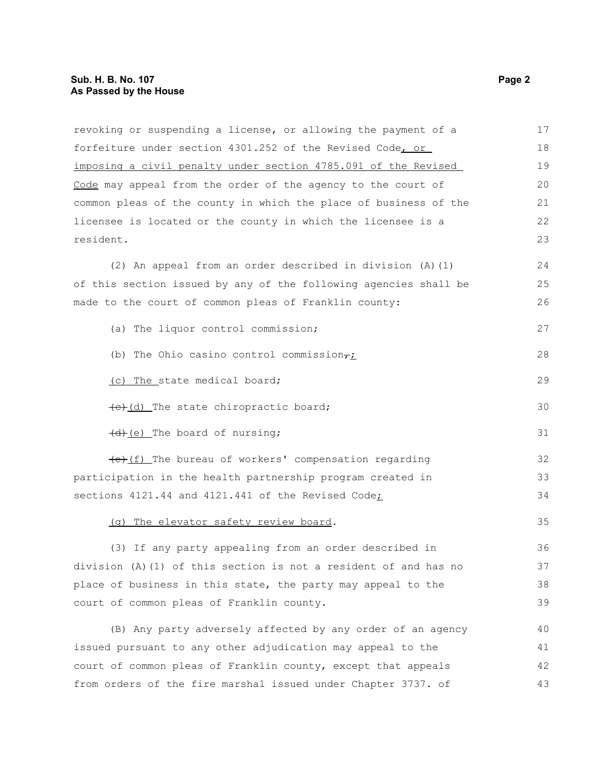| revoking or suspending a license, or allowing the payment of a   | 17 |
|------------------------------------------------------------------|----|
| forfeiture under section 4301.252 of the Revised Code, or        | 18 |
| imposing a civil penalty under section 4785.091 of the Revised   | 19 |
| Code may appeal from the order of the agency to the court of     | 20 |
| common pleas of the county in which the place of business of the | 21 |
| licensee is located or the county in which the licensee is a     | 22 |
| resident.                                                        | 23 |
| (2) An appeal from an order described in division (A) (1)        | 24 |
| of this section issued by any of the following agencies shall be | 25 |
| made to the court of common pleas of Franklin county:            | 26 |
| (a) The liquor control commission;                               | 27 |
| (b) The Ohio casino control commission $\tau_L$                  | 28 |
| (c) The state medical board;                                     | 29 |
| (e)(d) The state chiropractic board;                             | 30 |
| (d) (e) The board of nursing;                                    | 31 |
| (e) (f) The bureau of workers' compensation regarding            | 32 |
| participation in the health partnership program created in       | 33 |
| sections 4121.44 and 4121.441 of the Revised Code;               | 34 |
| (g) The elevator safety review board.                            | 35 |
| (3) If any party appealing from an order described in            | 36 |
| division (A) (1) of this section is not a resident of and has no | 37 |
| place of business in this state, the party may appeal to the     | 38 |
| court of common pleas of Franklin county.                        | 39 |
| (B) Any party adversely affected by any order of an agency       | 40 |
| issued pursuant to any other adjudication may appeal to the      | 41 |
| court of common pleas of Franklin county, except that appeals    | 42 |
| from orders of the fire marshal issued under Chapter 3737. of    | 43 |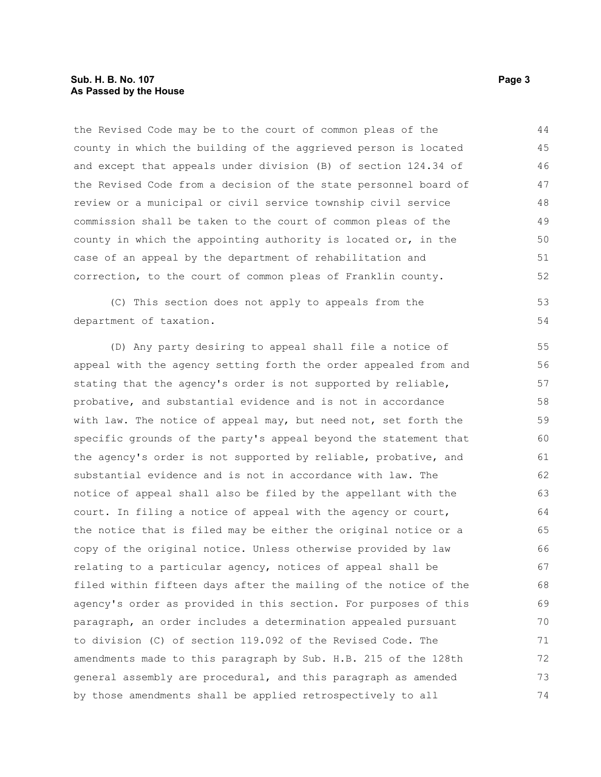#### **Sub. H. B. No. 107 Page 3 As Passed by the House**

the Revised Code may be to the court of common pleas of the county in which the building of the aggrieved person is located and except that appeals under division (B) of section 124.34 of the Revised Code from a decision of the state personnel board of review or a municipal or civil service township civil service commission shall be taken to the court of common pleas of the county in which the appointing authority is located or, in the case of an appeal by the department of rehabilitation and correction, to the court of common pleas of Franklin county. 44 45 46 47 48 49 50 51 52

(C) This section does not apply to appeals from the department of taxation.

(D) Any party desiring to appeal shall file a notice of appeal with the agency setting forth the order appealed from and stating that the agency's order is not supported by reliable, probative, and substantial evidence and is not in accordance with law. The notice of appeal may, but need not, set forth the specific grounds of the party's appeal beyond the statement that the agency's order is not supported by reliable, probative, and substantial evidence and is not in accordance with law. The notice of appeal shall also be filed by the appellant with the court. In filing a notice of appeal with the agency or court, the notice that is filed may be either the original notice or a copy of the original notice. Unless otherwise provided by law relating to a particular agency, notices of appeal shall be filed within fifteen days after the mailing of the notice of the agency's order as provided in this section. For purposes of this paragraph, an order includes a determination appealed pursuant to division (C) of section 119.092 of the Revised Code. The amendments made to this paragraph by Sub. H.B. 215 of the 128th general assembly are procedural, and this paragraph as amended by those amendments shall be applied retrospectively to all 55 56 57 58 59 60 61 62 63 64 65 66 67 68 69 70 71 72 73 74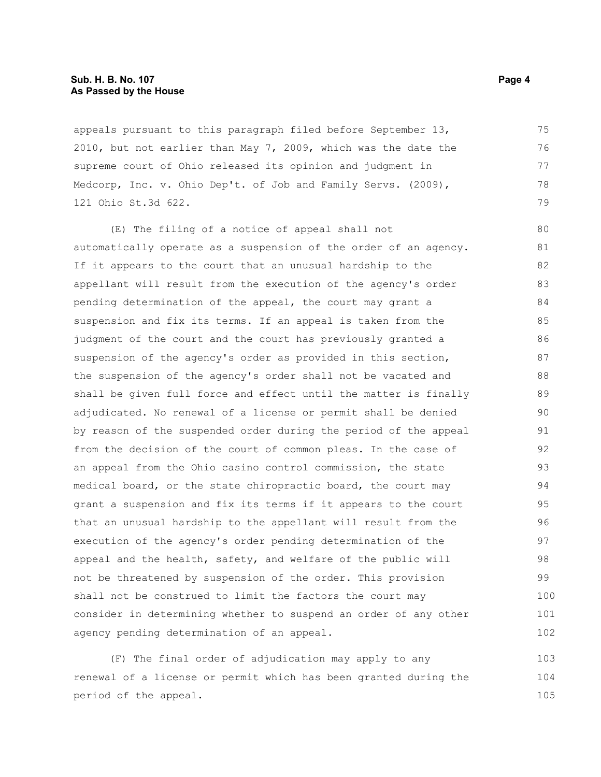#### **Sub. H. B. No. 107 Page 4 As Passed by the House**

appeals pursuant to this paragraph filed before September 13, 2010, but not earlier than May 7, 2009, which was the date the supreme court of Ohio released its opinion and judgment in Medcorp, Inc. v. Ohio Dep't. of Job and Family Servs. (2009), 121 Ohio St.3d 622. 75 76 77 78 79

(E) The filing of a notice of appeal shall not automatically operate as a suspension of the order of an agency. If it appears to the court that an unusual hardship to the appellant will result from the execution of the agency's order pending determination of the appeal, the court may grant a suspension and fix its terms. If an appeal is taken from the judgment of the court and the court has previously granted a suspension of the agency's order as provided in this section, the suspension of the agency's order shall not be vacated and shall be given full force and effect until the matter is finally adjudicated. No renewal of a license or permit shall be denied by reason of the suspended order during the period of the appeal from the decision of the court of common pleas. In the case of an appeal from the Ohio casino control commission, the state medical board, or the state chiropractic board, the court may grant a suspension and fix its terms if it appears to the court that an unusual hardship to the appellant will result from the execution of the agency's order pending determination of the appeal and the health, safety, and welfare of the public will not be threatened by suspension of the order. This provision shall not be construed to limit the factors the court may consider in determining whether to suspend an order of any other agency pending determination of an appeal. 80 81 82 83 84 85 86 87 88 89 90 91 92 93 94 95 96 97 98 99 100 101 102

(F) The final order of adjudication may apply to any renewal of a license or permit which has been granted during the period of the appeal. 103 104 105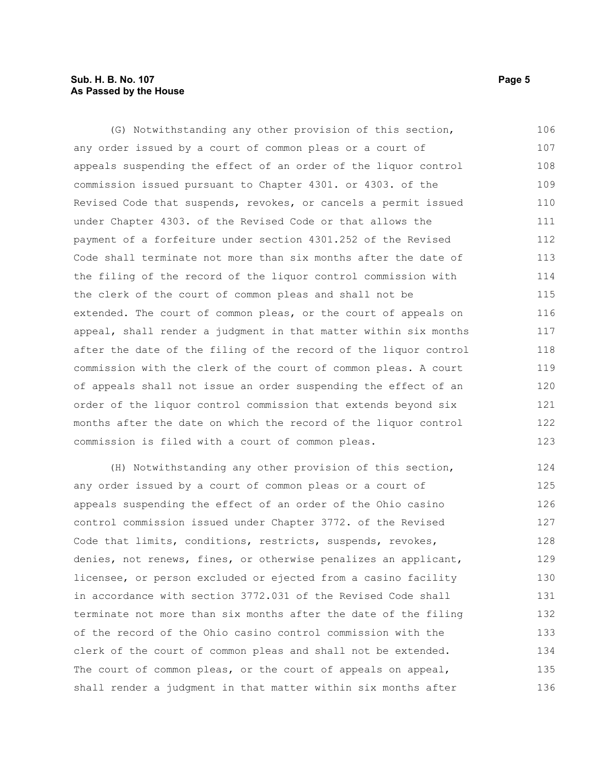#### **Sub. H. B. No. 107 Page 5 As Passed by the House**

(G) Notwithstanding any other provision of this section, any order issued by a court of common pleas or a court of appeals suspending the effect of an order of the liquor control commission issued pursuant to Chapter 4301. or 4303. of the Revised Code that suspends, revokes, or cancels a permit issued under Chapter 4303. of the Revised Code or that allows the payment of a forfeiture under section 4301.252 of the Revised Code shall terminate not more than six months after the date of the filing of the record of the liquor control commission with the clerk of the court of common pleas and shall not be extended. The court of common pleas, or the court of appeals on appeal, shall render a judgment in that matter within six months after the date of the filing of the record of the liquor control commission with the clerk of the court of common pleas. A court of appeals shall not issue an order suspending the effect of an order of the liquor control commission that extends beyond six months after the date on which the record of the liquor control commission is filed with a court of common pleas. 106 107 108 109 110 111 112 113 114 115 116 117 118 119 120 121 122 123

(H) Notwithstanding any other provision of this section, any order issued by a court of common pleas or a court of appeals suspending the effect of an order of the Ohio casino control commission issued under Chapter 3772. of the Revised Code that limits, conditions, restricts, suspends, revokes, denies, not renews, fines, or otherwise penalizes an applicant, licensee, or person excluded or ejected from a casino facility in accordance with section 3772.031 of the Revised Code shall terminate not more than six months after the date of the filing of the record of the Ohio casino control commission with the clerk of the court of common pleas and shall not be extended. The court of common pleas, or the court of appeals on appeal, shall render a judgment in that matter within six months after 124 125 126 127 128 129 130 131 132 133 134 135 136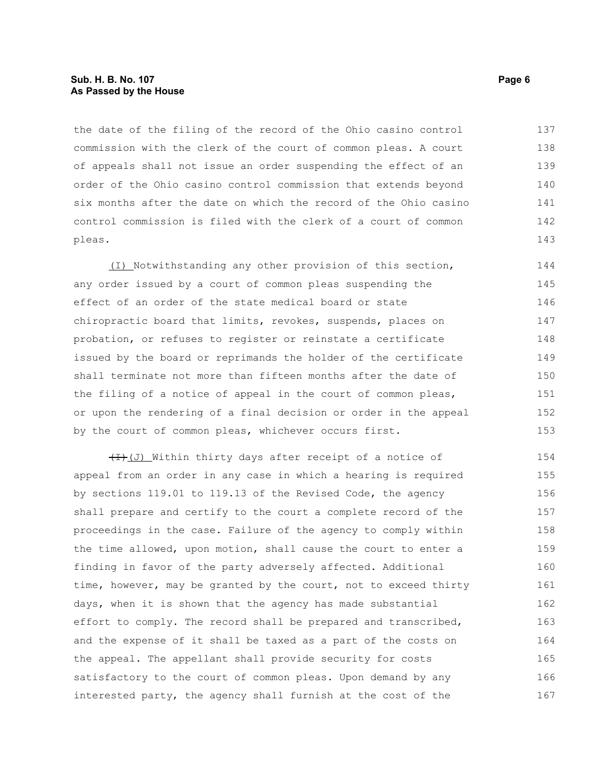#### **Sub. H. B. No. 107 Page 6 As Passed by the House**

the date of the filing of the record of the Ohio casino control commission with the clerk of the court of common pleas. A court of appeals shall not issue an order suspending the effect of an order of the Ohio casino control commission that extends beyond six months after the date on which the record of the Ohio casino control commission is filed with the clerk of a court of common pleas. 137 138 139 140 141 142 143

(I) Notwithstanding any other provision of this section, any order issued by a court of common pleas suspending the effect of an order of the state medical board or state chiropractic board that limits, revokes, suspends, places on probation, or refuses to register or reinstate a certificate issued by the board or reprimands the holder of the certificate shall terminate not more than fifteen months after the date of the filing of a notice of appeal in the court of common pleas, or upon the rendering of a final decision or order in the appeal by the court of common pleas, whichever occurs first. 144 145 146 147 148 149 150 151 152 153

 $(H)$  (J) Within thirty days after receipt of a notice of appeal from an order in any case in which a hearing is required by sections 119.01 to 119.13 of the Revised Code, the agency shall prepare and certify to the court a complete record of the proceedings in the case. Failure of the agency to comply within the time allowed, upon motion, shall cause the court to enter a finding in favor of the party adversely affected. Additional time, however, may be granted by the court, not to exceed thirty days, when it is shown that the agency has made substantial effort to comply. The record shall be prepared and transcribed, and the expense of it shall be taxed as a part of the costs on the appeal. The appellant shall provide security for costs satisfactory to the court of common pleas. Upon demand by any interested party, the agency shall furnish at the cost of the 154 155 156 157 158 159 160 161 162 163 164 165 166 167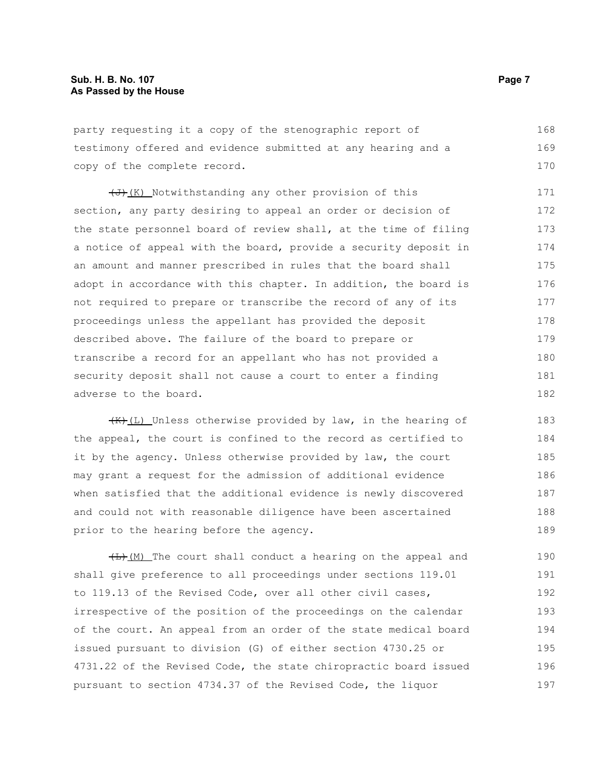party requesting it a copy of the stenographic report of testimony offered and evidence submitted at any hearing and a copy of the complete record. 168 169 170

(J)(K) Notwithstanding any other provision of this section, any party desiring to appeal an order or decision of the state personnel board of review shall, at the time of filing a notice of appeal with the board, provide a security deposit in an amount and manner prescribed in rules that the board shall adopt in accordance with this chapter. In addition, the board is not required to prepare or transcribe the record of any of its proceedings unless the appellant has provided the deposit described above. The failure of the board to prepare or transcribe a record for an appellant who has not provided a security deposit shall not cause a court to enter a finding adverse to the board. 171 172 173 174 175 176 177 178 179 180 181 182

 $\frac{1}{k}(L)$  Unless otherwise provided by law, in the hearing of the appeal, the court is confined to the record as certified to it by the agency. Unless otherwise provided by law, the court may grant a request for the admission of additional evidence when satisfied that the additional evidence is newly discovered and could not with reasonable diligence have been ascertained prior to the hearing before the agency. 183 184 185 186 187 188 189

 $H_{\text{H}}(M)$  The court shall conduct a hearing on the appeal and shall give preference to all proceedings under sections 119.01 to 119.13 of the Revised Code, over all other civil cases, irrespective of the position of the proceedings on the calendar of the court. An appeal from an order of the state medical board issued pursuant to division (G) of either section 4730.25 or 4731.22 of the Revised Code, the state chiropractic board issued pursuant to section 4734.37 of the Revised Code, the liquor 190 191 192 193 194 195 196 197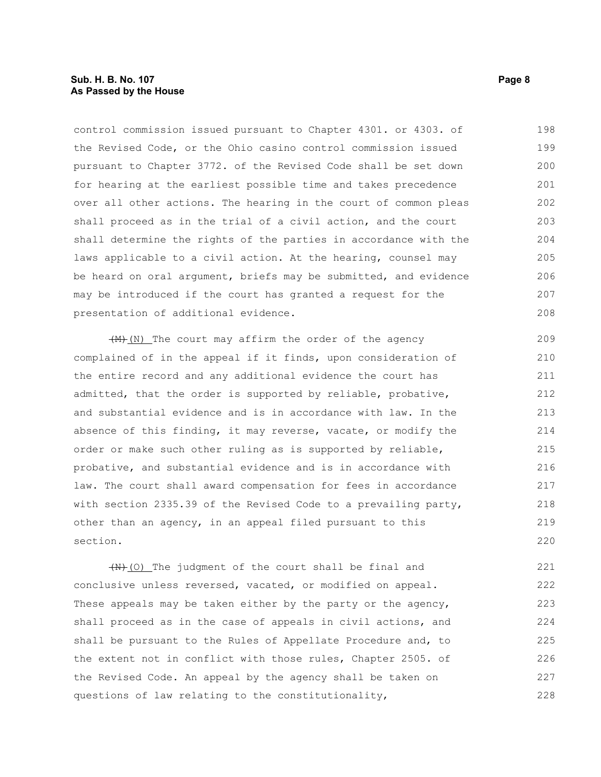#### **Sub. H. B. No. 107 Page 8 As Passed by the House**

control commission issued pursuant to Chapter 4301. or 4303. of the Revised Code, or the Ohio casino control commission issued pursuant to Chapter 3772. of the Revised Code shall be set down for hearing at the earliest possible time and takes precedence over all other actions. The hearing in the court of common pleas shall proceed as in the trial of a civil action, and the court shall determine the rights of the parties in accordance with the laws applicable to a civil action. At the hearing, counsel may be heard on oral argument, briefs may be submitted, and evidence may be introduced if the court has granted a request for the presentation of additional evidence. 198 199 200 201 202 203 204 205 206 207 208

 $+$ (M) The court may affirm the order of the agency complained of in the appeal if it finds, upon consideration of the entire record and any additional evidence the court has admitted, that the order is supported by reliable, probative, and substantial evidence and is in accordance with law. In the absence of this finding, it may reverse, vacate, or modify the order or make such other ruling as is supported by reliable, probative, and substantial evidence and is in accordance with law. The court shall award compensation for fees in accordance with section 2335.39 of the Revised Code to a prevailing party, other than an agency, in an appeal filed pursuant to this section. 209 210 211 212 213 214 215 216 217 218 219 220

 $(W+10)$  The judgment of the court shall be final and conclusive unless reversed, vacated, or modified on appeal. These appeals may be taken either by the party or the agency, shall proceed as in the case of appeals in civil actions, and shall be pursuant to the Rules of Appellate Procedure and, to the extent not in conflict with those rules, Chapter 2505. of the Revised Code. An appeal by the agency shall be taken on questions of law relating to the constitutionality, 221 222 223 224 225 226 227 228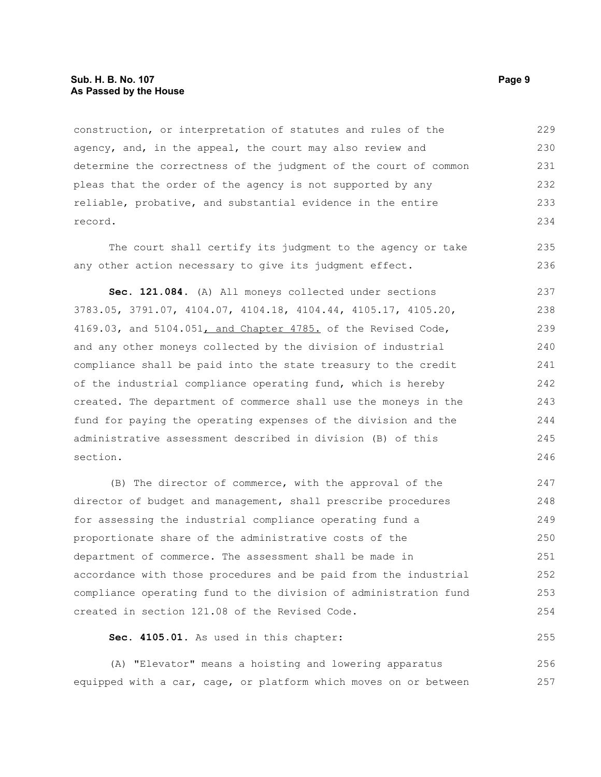#### **Sub. H. B. No. 107 Page 9 As Passed by the House**

construction, or interpretation of statutes and rules of the agency, and, in the appeal, the court may also review and determine the correctness of the judgment of the court of common pleas that the order of the agency is not supported by any reliable, probative, and substantial evidence in the entire record. 229 230 231 232 233 234

The court shall certify its judgment to the agency or take any other action necessary to give its judgment effect.

**Sec. 121.084.** (A) All moneys collected under sections 3783.05, 3791.07, 4104.07, 4104.18, 4104.44, 4105.17, 4105.20, 4169.03, and  $5104.051$ , and Chapter 4785. of the Revised Code, and any other moneys collected by the division of industrial compliance shall be paid into the state treasury to the credit of the industrial compliance operating fund, which is hereby created. The department of commerce shall use the moneys in the fund for paying the operating expenses of the division and the administrative assessment described in division (B) of this section. 237 238 239 240 241 242 243 244 245 246

(B) The director of commerce, with the approval of the director of budget and management, shall prescribe procedures for assessing the industrial compliance operating fund a proportionate share of the administrative costs of the department of commerce. The assessment shall be made in accordance with those procedures and be paid from the industrial compliance operating fund to the division of administration fund created in section 121.08 of the Revised Code. 247 248 249 250 251 252 253 254

**Sec. 4105.01.** As used in this chapter: 255

(A) "Elevator" means a hoisting and lowering apparatus equipped with a car, cage, or platform which moves on or between 256 257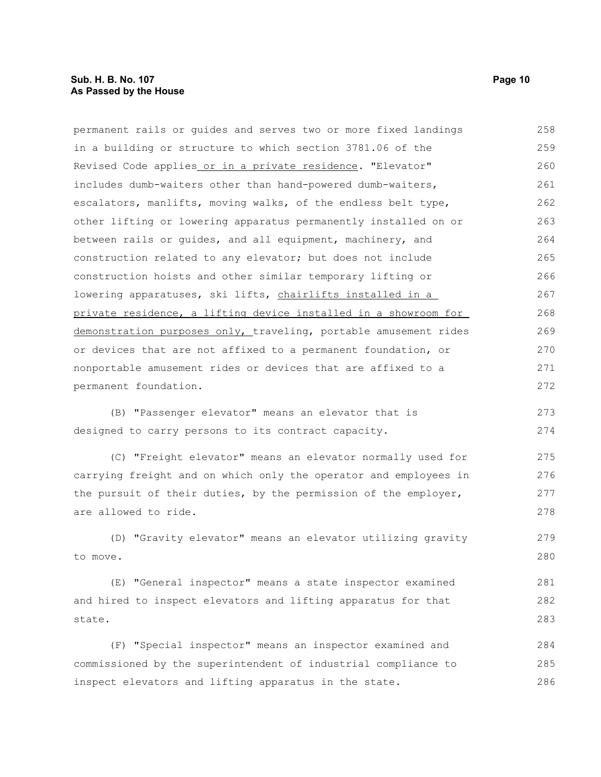permanent rails or guides and serves two or more fixed landings in a building or structure to which section 3781.06 of the Revised Code applies or in a private residence. "Elevator" includes dumb-waiters other than hand-powered dumb-waiters, escalators, manlifts, moving walks, of the endless belt type, other lifting or lowering apparatus permanently installed on or between rails or guides, and all equipment, machinery, and construction related to any elevator; but does not include construction hoists and other similar temporary lifting or lowering apparatuses, ski lifts, chairlifts installed in a private residence, a lifting device installed in a showroom for demonstration purposes only, traveling, portable amusement rides or devices that are not affixed to a permanent foundation, or nonportable amusement rides or devices that are affixed to a permanent foundation. 258 259 260 261 262 263 264 265 266 267 268 269 270 271 272

(B) "Passenger elevator" means an elevator that is designed to carry persons to its contract capacity. 273 274

(C) "Freight elevator" means an elevator normally used for carrying freight and on which only the operator and employees in the pursuit of their duties, by the permission of the employer, are allowed to ride. 275 276 277 278

(D) "Gravity elevator" means an elevator utilizing gravity to move.

(E) "General inspector" means a state inspector examined and hired to inspect elevators and lifting apparatus for that state. 281 282 283

(F) "Special inspector" means an inspector examined and commissioned by the superintendent of industrial compliance to inspect elevators and lifting apparatus in the state. 284 285 286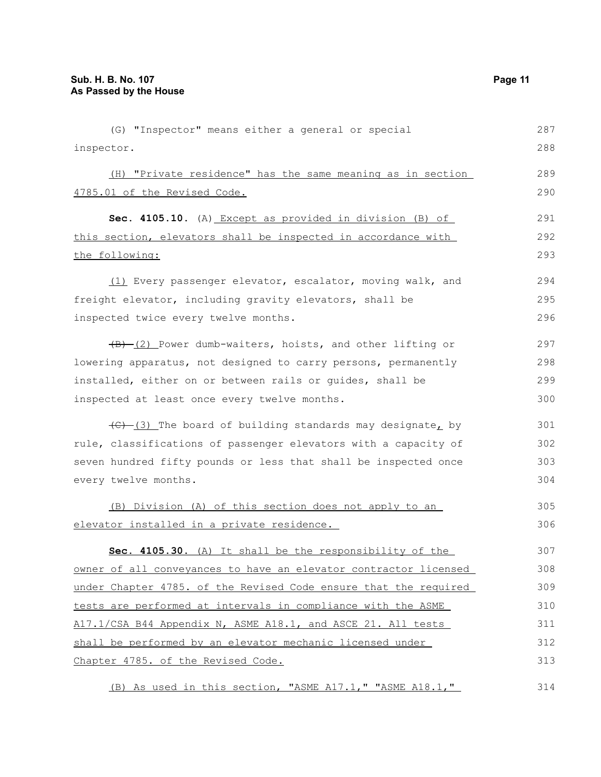| (G) "Inspector" means either a general or special                                          | 287 |
|--------------------------------------------------------------------------------------------|-----|
| inspector.                                                                                 | 288 |
| (H) "Private residence" has the same meaning as in section                                 | 289 |
| 4785.01 of the Revised Code.                                                               | 290 |
| Sec. 4105.10. (A) Except as provided in division (B) of                                    | 291 |
| this section, elevators shall be inspected in accordance with                              | 292 |
| the following:                                                                             | 293 |
|                                                                                            |     |
| (1) Every passenger elevator, escalator, moving walk, and                                  | 294 |
| freight elevator, including gravity elevators, shall be                                    | 295 |
| inspected twice every twelve months.                                                       | 296 |
| $\overline{(B) - (2)}$ Power dumb-waiters, hoists, and other lifting or                    | 297 |
| lowering apparatus, not designed to carry persons, permanently                             | 298 |
| installed, either on or between rails or guides, shall be                                  | 299 |
| inspected at least once every twelve months.                                               | 300 |
| $\left(\frac{1}{2} - \frac{1}{2}\right)$ The board of building standards may designate, by | 301 |
| rule, classifications of passenger elevators with a capacity of                            | 302 |
| seven hundred fifty pounds or less that shall be inspected once                            | 303 |
| every twelve months.                                                                       | 304 |
| (B) Division (A) of this section does not apply to an                                      | 305 |
| elevator installed in a private residence.                                                 | 306 |
| Sec. 4105.30. (A) It shall be the responsibility of the                                    | 307 |
| owner of all conveyances to have an elevator contractor licensed                           | 308 |
| under Chapter 4785. of the Revised Code ensure that the required                           | 309 |
| tests are performed at intervals in compliance with the ASME                               | 310 |
| A17.1/CSA B44 Appendix N, ASME A18.1, and ASCE 21. All tests                               | 311 |
| shall be performed by an elevator mechanic licensed under                                  | 312 |
| Chapter 4785. of the Revised Code.                                                         | 313 |
| (B) As used in this section, "ASME A17.1," "ASME A18.1,"                                   | 314 |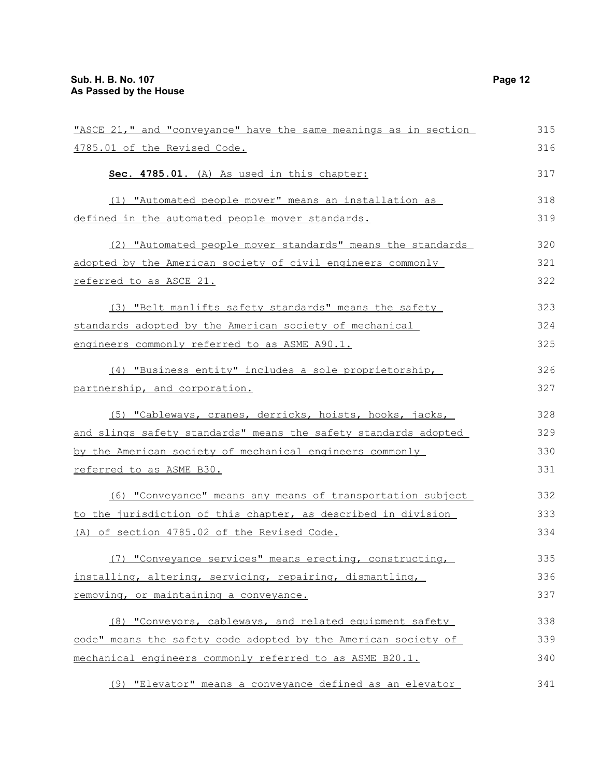| "ASCE 21," and "conveyance" have the same meanings as in section | 315 |
|------------------------------------------------------------------|-----|
| 4785.01 of the Revised Code.                                     | 316 |
| Sec. 4785.01. (A) As used in this chapter:                       | 317 |
| (1) "Automated people mover" means an installation as            | 318 |
| <u>defined in the automated people mover standards.</u>          | 319 |
| (2) "Automated people mover standards" means the standards       | 320 |
| adopted by the American society of civil engineers commonly      | 321 |
| <u>referred to as ASCE 21.</u>                                   | 322 |
| (3) "Belt manlifts safety standards" means the safety            | 323 |
| standards adopted by the American society of mechanical          | 324 |
| engineers commonly referred to as ASME A90.1.                    | 325 |
| (4) "Business entity" includes a sole proprietorship,            | 326 |
| partnership, and corporation.                                    | 327 |
| (5) "Cableways, cranes, derricks, hoists, hooks, jacks,          | 328 |
| and slings safety standards" means the safety standards adopted  | 329 |
| by the American society of mechanical engineers commonly         | 330 |
| referred to as ASME B30.                                         | 331 |
| (6) "Conveyance" means any means of transportation subject       | 332 |
| to the jurisdiction of this chapter, as described in division    | 333 |
| (A) of section 4785.02 of the Revised Code.                      | 334 |
| "Conveyance services" means erecting, constructing,<br>(7)       | 335 |
| installing, altering, servicing, repairing, dismantling,         | 336 |
| removing, or maintaining a conveyance.                           | 337 |
| (8) "Conveyors, cableways, and related equipment safety          | 338 |
| code" means the safety code adopted by the American society of   | 339 |
| mechanical engineers commonly referred to as ASME B20.1.         | 340 |
| (9) "Elevator" means a conveyance defined as an elevator         | 341 |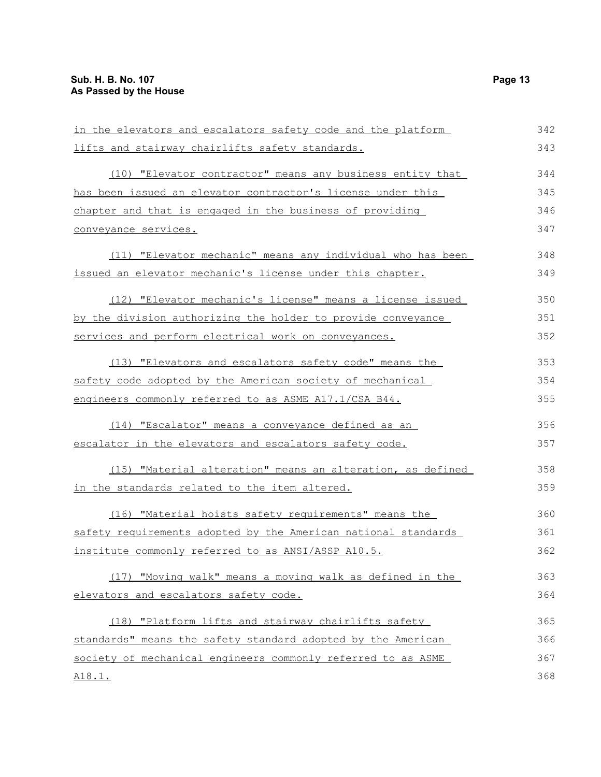| in the elevators and escalators safety code and the platform   | 342 |
|----------------------------------------------------------------|-----|
| lifts and stairway chairlifts safety standards.                | 343 |
| (10) "Elevator contractor" means any business entity that      | 344 |
| has been issued an elevator contractor's license under this    | 345 |
| chapter and that is engaged in the business of providing       | 346 |
| conveyance services.                                           | 347 |
| (11) "Elevator mechanic" means any individual who has been     | 348 |
| issued an elevator mechanic's license under this chapter.      | 349 |
| (12) "Elevator mechanic's license" means a license issued      | 350 |
| by the division authorizing the holder to provide conveyance   | 351 |
| services and perform electrical work on conveyances.           | 352 |
| (13) "Elevators and escalators safety code" means the          | 353 |
| safety code adopted by the American society of mechanical      | 354 |
| engineers commonly referred to as ASME A17.1/CSA B44.          | 355 |
| (14) "Escalator" means a conveyance defined as an              | 356 |
| escalator in the elevators and escalators safety code.         | 357 |
| (15) "Material alteration" means an alteration, as defined     | 358 |
| <u>in the standards related to the item altered.</u>           | 359 |
| (16) "Material hoists safety requirements" means the           | 360 |
| safety requirements adopted by the American national standards | 361 |
| institute commonly referred to as ANSI/ASSP A10.5.             | 362 |
| (17) "Moving walk" means a moving walk as defined in the       | 363 |
| elevators and escalators safety code.                          | 364 |
| (18) "Platform lifts and stairway chairlifts safety            | 365 |
| standards" means the safety standard adopted by the American   | 366 |
| society of mechanical engineers commonly referred to as ASME   | 367 |
| <u>A18.1.</u>                                                  | 368 |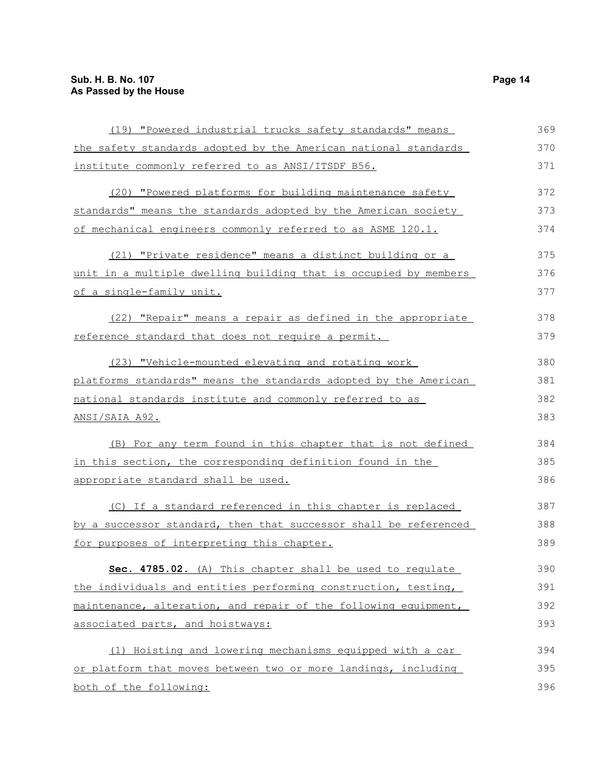| (19) "Powered industrial trucks safety standards" means          | 369 |
|------------------------------------------------------------------|-----|
| the safety standards adopted by the American national standards  | 370 |
| institute commonly referred to as ANSI/ITSDF B56.                | 371 |
| (20) "Powered platforms for building maintenance safety          | 372 |
| standards" means the standards adopted by the American society   | 373 |
| of mechanical engineers commonly referred to as ASME 120.1.      | 374 |
| (21) "Private residence" means a distinct building or a          | 375 |
| unit in a multiple dwelling building that is occupied by members | 376 |
| of a single-family unit.                                         | 377 |
| (22) "Repair" means a repair as defined in the appropriate       | 378 |
| reference standard that does not require a permit.               | 379 |
| (23) "Vehicle-mounted elevating and rotating work                | 380 |
| platforms standards" means the standards adopted by the American | 381 |
| national standards institute and commonly referred to as         | 382 |
| <u>ANSI/SAIA A92.</u>                                            | 383 |
| (B) For any term found in this chapter that is not defined       | 384 |
| in this section, the corresponding definition found in the       | 385 |
| appropriate standard shall be used.                              | 386 |
| (C) If a standard referenced in this chapter is replaced         | 387 |
| by a successor standard, then that successor shall be referenced | 388 |
| for purposes of interpreting this chapter.                       | 389 |
| Sec. 4785.02. (A) This chapter shall be used to requlate         | 390 |
| the individuals and entities performing construction, testing,   | 391 |
| maintenance, alteration, and repair of the following equipment,  | 392 |
| associated parts, and hoistways:                                 | 393 |
| (1) Hoisting and lowering mechanisms equipped with a car         | 394 |
| or platform that moves between two or more landings, including   | 395 |
| both of the following:                                           | 396 |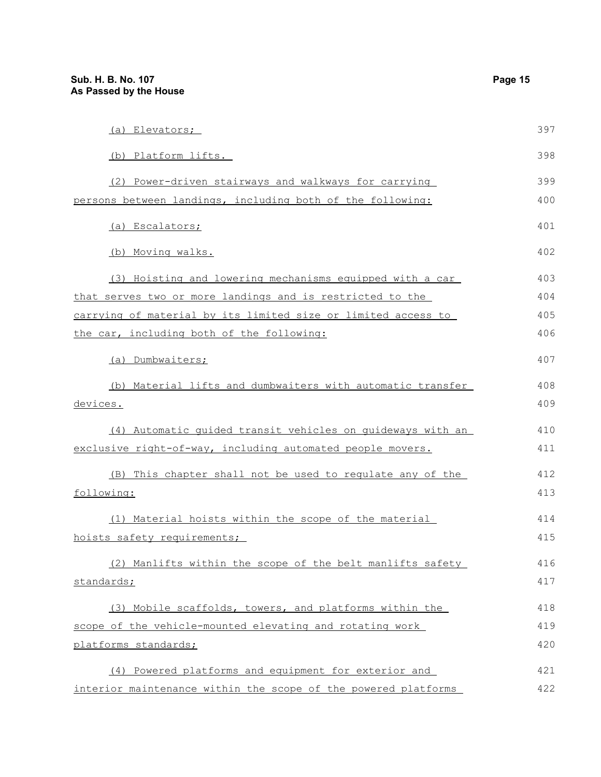| (a) Elevators;                                                 | 397 |
|----------------------------------------------------------------|-----|
| (b) Platform lifts.                                            | 398 |
| (2) Power-driven stairways and walkways for carrying           | 399 |
| persons between landings, including both of the following:     | 400 |
| (a) Escalators;                                                | 401 |
| (b) Moving walks.                                              | 402 |
| (3) Hoisting and lowering mechanisms equipped with a car       | 403 |
| that serves two or more landings and is restricted to the      | 404 |
| carrying of material by its limited size or limited access to  | 405 |
| the car, including both of the following:                      | 406 |
| (a) Dumbwaiters;                                               | 407 |
| (b) Material lifts and dumbwaiters with automatic transfer     | 408 |
| devices.                                                       | 409 |
| (4) Automatic guided transit vehicles on guideways with an     | 410 |
| exclusive right-of-way, including automated people movers.     | 411 |
| (B) This chapter shall not be used to regulate any of the      | 412 |
| following:                                                     | 413 |
| (1) Material hoists within the scope of the material           | 414 |
| hoists safety requirements;                                    | 415 |
| (2) Manlifts within the scope of the belt manlifts safety      | 416 |
| standards;                                                     | 417 |
| (3) Mobile scaffolds, towers, and platforms within the         | 418 |
| scope of the vehicle-mounted elevating and rotating work       | 419 |
| platforms standards;                                           | 420 |
| (4) Powered platforms and equipment for exterior and           | 421 |
| interior maintenance within the scope of the powered platforms | 422 |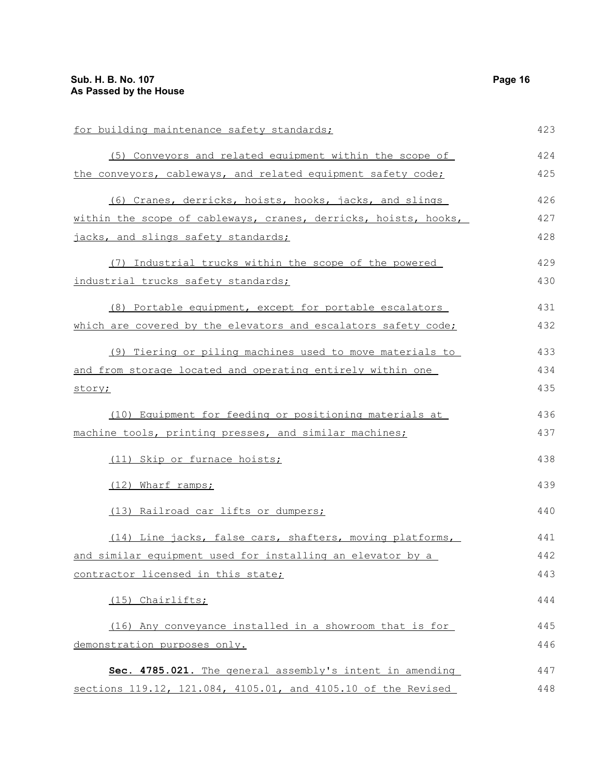for building maintenance safety standards; (5) Conveyors and related equipment within the scope of the conveyors, cableways, and related equipment safety code; (6) Cranes, derricks, hoists, hooks, jacks, and slings within the scope of cableways, cranes, derricks, hoists, hooks, jacks, and slings safety standards; (7) Industrial trucks within the scope of the powered industrial trucks safety standards; (8) Portable equipment, except for portable escalators which are covered by the elevators and escalators safety code; (9) Tiering or piling machines used to move materials to and from storage located and operating entirely within one story; (10) Equipment for feeding or positioning materials at machine tools, printing presses, and similar machines; (11) Skip or furnace hoists; (12) Wharf ramps; (13) Railroad car lifts or dumpers; (14) Line jacks, false cars, shafters, moving platforms, and similar equipment used for installing an elevator by a contractor licensed in this state; (15) Chairlifts; (16) Any conveyance installed in a showroom that is for demonstration purposes only. **Sec. 4785.021.** The general assembly's intent in amending sections 119.12, 121.084, 4105.01, and 4105.10 of the Revised 423 424 425 426 427 428 429 430 431 432 433 434 435 436 437 438 439 440 441 442 443 444 445 446 447 448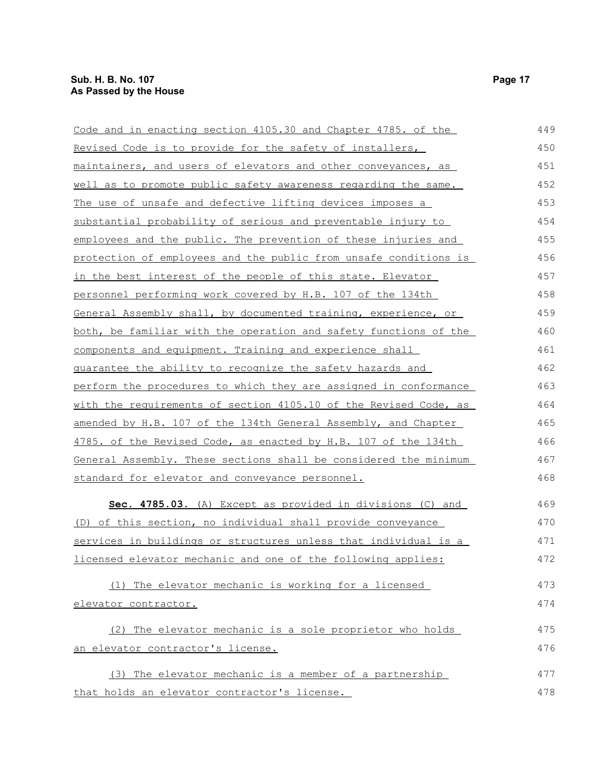| Code and in enacting section 4105.30 and Chapter 4785. of the         | 449 |
|-----------------------------------------------------------------------|-----|
| Revised Code is to provide for the safety of installers,              | 450 |
| maintainers, and users of elevators and other conveyances, as         | 451 |
| <u>well as to promote public safety awareness regarding the same.</u> | 452 |
| <u>The use of unsafe and defective lifting devices imposes a</u>      | 453 |
| substantial probability of serious and preventable injury to          | 454 |
| employees and the public. The prevention of these injuries and        | 455 |
| protection of employees and the public from unsafe conditions is      | 456 |
| <u>in the best interest of the people of this state. Elevator</u>     | 457 |
| personnel performing work covered by H.B. 107 of the 134th            | 458 |
| General Assembly shall, by documented training, experience, or        | 459 |
| both, be familiar with the operation and safety functions of the      | 460 |
| components and equipment. Training and experience shall               | 461 |
| guarantee the ability to recognize the safety hazards and             | 462 |
| perform the procedures to which they are assigned in conformance      | 463 |
| with the requirements of section 4105.10 of the Revised Code, as      | 464 |
| amended by H.B. 107 of the 134th General Assembly, and Chapter        | 465 |
| 4785. of the Revised Code, as enacted by H.B. 107 of the 134th        | 466 |
| General Assembly. These sections shall be considered the minimum      | 467 |
| standard for elevator and conveyance personnel.                       | 468 |
| Sec. 4785.03. (A) Except as provided in divisions (C) and             | 469 |
| (D) of this section, no individual shall provide conveyance           | 470 |
| services in buildings or structures unless that individual is a       | 471 |
| licensed elevator mechanic and one of the following applies:          | 472 |
| (1) The elevator mechanic is working for a licensed                   | 473 |
| elevator contractor.                                                  | 474 |
|                                                                       |     |
| (2) The elevator mechanic is a sole proprietor who holds              | 475 |
| an elevator contractor's license.                                     | 476 |
| (3) The elevator mechanic is a member of a partnership                | 477 |
| that holds an elevator contractor's license.                          | 478 |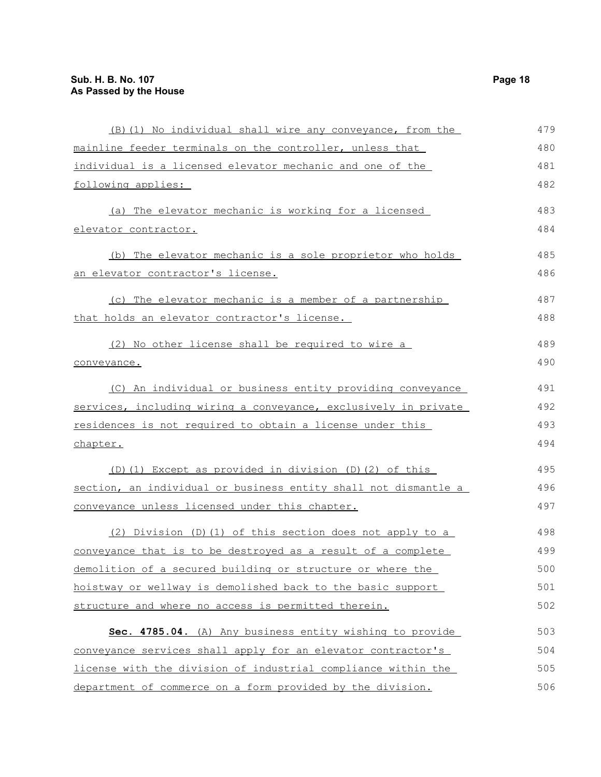| (B) (1) No individual shall wire any conveyance, from the       | 479 |
|-----------------------------------------------------------------|-----|
| mainline feeder terminals on the controller, unless that        | 480 |
| individual is a licensed elevator mechanic and one of the       | 481 |
| following applies:                                              | 482 |
| (a) The elevator mechanic is working for a licensed             | 483 |
| elevator contractor.                                            | 484 |
| (b) The elevator mechanic is a sole proprietor who holds        | 485 |
| <u>an elevator contractor's license.</u>                        | 486 |
| (c) The elevator mechanic is a member of a partnership          | 487 |
| <u>that holds an elevator contractor's license.</u>             | 488 |
| (2) No other license shall be required to wire a                | 489 |
| conveyance.                                                     | 490 |
| (C) An individual or business entity providing conveyance       | 491 |
| services, including wiring a conveyance, exclusively in private | 492 |
| residences is not required to obtain a license under this       | 493 |
| chapter.                                                        | 494 |
| (D)(1) Except as provided in division (D)(2) of this            | 495 |
| section, an individual or business entity shall not dismantle a | 496 |
| conveyance unless licensed under this chapter.                  | 497 |
| (2) Division (D)(1) of this section does not apply to a         | 498 |
| conveyance that is to be destroyed as a result of a complete    | 499 |
| demolition of a secured building or structure or where the      | 500 |
| hoistway or wellway is demolished back to the basic support     | 501 |
| structure and where no access is permitted therein.             | 502 |
| Sec. 4785.04. (A) Any business entity wishing to provide        | 503 |
| conveyance services shall apply for an elevator contractor's    | 504 |
| license with the division of industrial compliance within the   | 505 |
| department of commerce on a form provided by the division.      | 506 |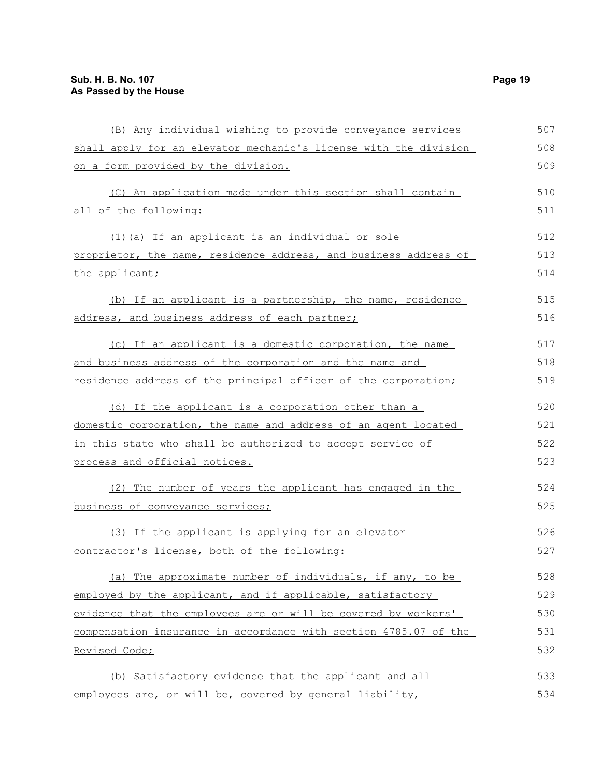| (B) Any individual wishing to provide conveyance services        | 507 |
|------------------------------------------------------------------|-----|
| shall apply for an elevator mechanic's license with the division | 508 |
| on a form provided by the division.                              | 509 |
| (C) An application made under this section shall contain         | 510 |
| all of the following:                                            | 511 |
| (1) (a) If an applicant is an individual or sole                 | 512 |
| proprietor, the name, residence address, and business address of | 513 |
| the applicant;                                                   | 514 |
| (b) If an applicant is a partnership, the name, residence        | 515 |
| address, and business address of each partner;                   | 516 |
| (c) If an applicant is a domestic corporation, the name          | 517 |
| and business address of the corporation and the name and         | 518 |
| residence address of the principal officer of the corporation;   | 519 |
| (d) If the applicant is a corporation other than a               | 520 |
| domestic corporation, the name and address of an agent located   | 521 |
| in this state who shall be authorized to accept service of       | 522 |
| process and official notices.                                    | 523 |
| (2) The number of years the applicant has engaged in the         | 524 |
| business of conveyance services;                                 | 525 |
| (3) If the applicant is applying for an elevator                 | 526 |
| contractor's license, both of the following:                     | 527 |
| (a) The approximate number of individuals, if any, to be         | 528 |
| employed by the applicant, and if applicable, satisfactory       | 529 |
| evidence that the employees are or will be covered by workers'   | 530 |
| compensation insurance in accordance with section 4785.07 of the | 531 |
| Revised Code;                                                    | 532 |
| (b) Satisfactory evidence that the applicant and all             | 533 |
| employees are, or will be, covered by general liability,         | 534 |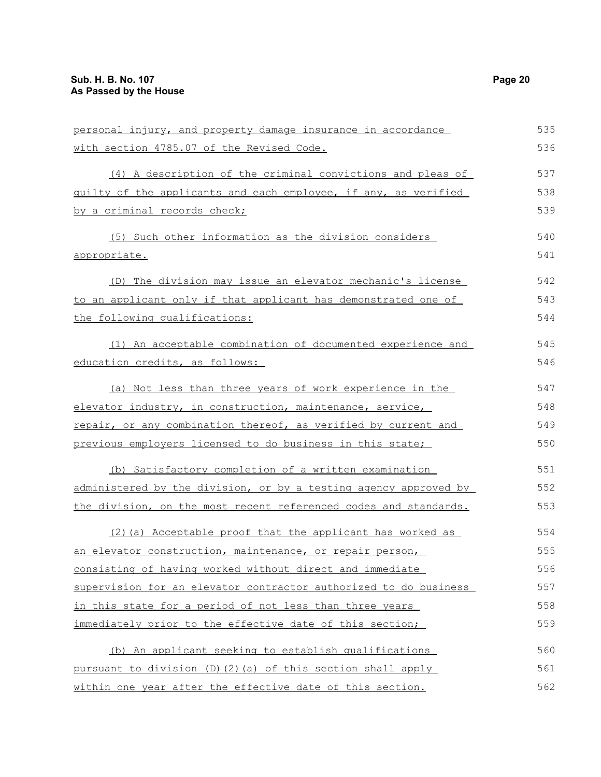| personal injury, and property damage insurance in accordance     | 535 |
|------------------------------------------------------------------|-----|
| with section 4785.07 of the Revised Code.                        | 536 |
| (4) A description of the criminal convictions and pleas of       | 537 |
| guilty of the applicants and each employee, if any, as verified  | 538 |
| by a criminal records check;                                     | 539 |
| (5) Such other information as the division considers             | 540 |
| appropriate.                                                     | 541 |
| (D) The division may issue an elevator mechanic's license        | 542 |
| to an applicant only if that applicant has demonstrated one of   | 543 |
| the following qualifications:                                    | 544 |
| (1) An acceptable combination of documented experience and       | 545 |
| education credits, as follows:                                   | 546 |
| (a) Not less than three years of work experience in the          | 547 |
| elevator industry, in construction, maintenance, service,        | 548 |
| repair, or any combination thereof, as verified by current and   | 549 |
| previous employers licensed to do business in this state;        | 550 |
| (b) Satisfactory completion of a written examination             | 551 |
| administered by the division, or by a testing agency approved by | 552 |
| the division, on the most recent referenced codes and standards. | 553 |
| (2) (a) Acceptable proof that the applicant has worked as        | 554 |
| an elevator construction, maintenance, or repair person,         | 555 |
| consisting of having worked without direct and immediate         | 556 |
| supervision for an elevator contractor authorized to do business | 557 |
| in this state for a period of not less than three years          | 558 |
| immediately prior to the effective date of this section;         | 559 |
| (b) An applicant seeking to establish qualifications             | 560 |
| pursuant to division (D)(2)(a) of this section shall apply       | 561 |
| within one year after the effective date of this section.        | 562 |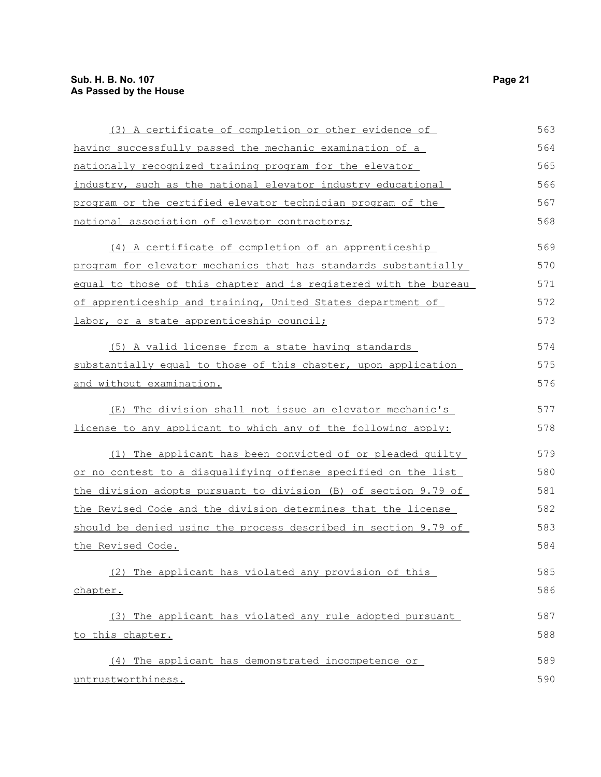| (3) A certificate of completion or other evidence of             | 563 |
|------------------------------------------------------------------|-----|
| having successfully passed the mechanic examination of a         | 564 |
| nationally recognized training program for the elevator          | 565 |
| industry, such as the national elevator industry educational     | 566 |
| program or the certified elevator technician program of the      | 567 |
| national association of elevator contractors;                    | 568 |
| (4) A certificate of completion of an apprenticeship             | 569 |
| program for elevator mechanics that has standards substantially  | 570 |
| equal to those of this chapter and is registered with the bureau | 571 |
| of apprenticeship and training, United States department of      | 572 |
| labor, or a state apprenticeship council;                        | 573 |
| (5) A valid license from a state having standards                | 574 |
| substantially equal to those of this chapter, upon application   | 575 |
| and without examination.                                         | 576 |
| (E) The division shall not issue an elevator mechanic's          | 577 |
| license to any applicant to which any of the following apply:    | 578 |
| (1) The applicant has been convicted of or pleaded guilty        | 579 |
| or no contest to a disqualifying offense specified on the list   | 580 |
| the division adopts pursuant to division (B) of section 9.79 of  | 581 |
| the Revised Code and the division determines that the license    | 582 |
| should be denied using the process described in section 9.79 of  | 583 |
| <u>the Revised Code.</u>                                         | 584 |
| (2) The applicant has violated any provision of this             | 585 |
| chapter.                                                         | 586 |
| (3) The applicant has violated any rule adopted pursuant         | 587 |
| to this chapter.                                                 | 588 |
| (4) The applicant has demonstrated incompetence or               | 589 |
| untrustworthiness.                                               | 590 |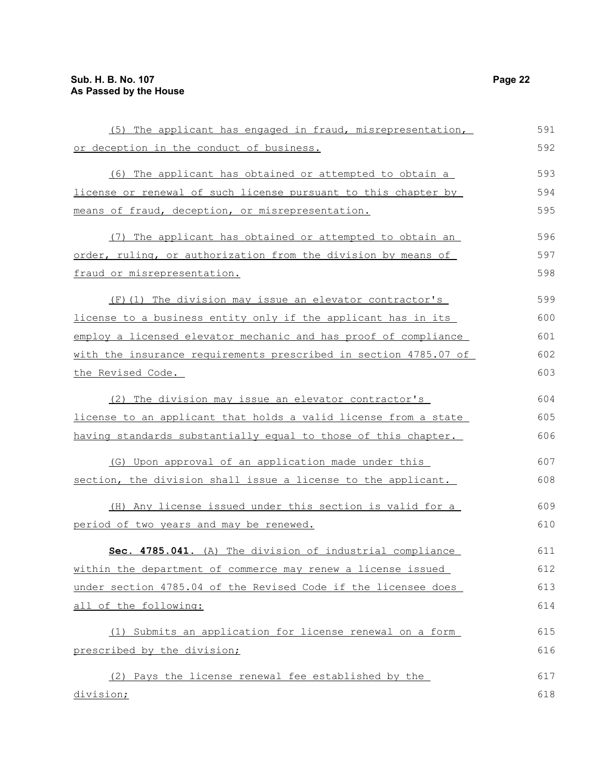| (5) The applicant has engaged in fraud, misrepresentation,       | 591 |
|------------------------------------------------------------------|-----|
| or deception in the conduct of business.                         | 592 |
| (6) The applicant has obtained or attempted to obtain a          | 593 |
| license or renewal of such license pursuant to this chapter by   | 594 |
| means of fraud, deception, or misrepresentation.                 | 595 |
| (7) The applicant has obtained or attempted to obtain an         | 596 |
| order, ruling, or authorization from the division by means of    | 597 |
| fraud or misrepresentation.                                      | 598 |
| (F) (1) The division may issue an elevator contractor's          | 599 |
| license to a business entity only if the applicant has in its    | 600 |
| employ a licensed elevator mechanic and has proof of compliance  | 601 |
| with the insurance requirements prescribed in section 4785.07 of | 602 |
| the Revised Code.                                                | 603 |
| (2) The division may issue an elevator contractor's              | 604 |
| license to an applicant that holds a valid license from a state  | 605 |
| having standards substantially equal to those of this chapter.   | 606 |
| (G) Upon approval of an application made under this              | 607 |
| section, the division shall issue a license to the applicant.    | 608 |
| (H) Any license issued under this section is valid for a         | 609 |
| period of two years and may be renewed.                          | 610 |
| Sec. 4785.041. (A) The division of industrial compliance         | 611 |
| within the department of commerce may renew a license issued     | 612 |
| under section 4785.04 of the Revised Code if the licensee does   | 613 |
| all of the following:                                            | 614 |
| (1) Submits an application for license renewal on a form         | 615 |
| prescribed by the division;                                      | 616 |
| (2) Pays the license renewal fee established by the              | 617 |
| division;                                                        | 618 |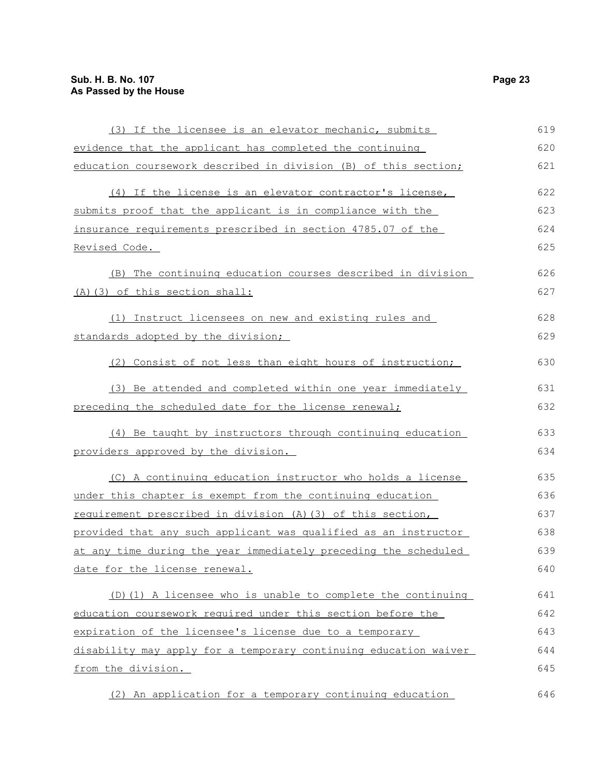| (3) If the licensee is an elevator mechanic, submits             | 619 |
|------------------------------------------------------------------|-----|
| evidence that the applicant has completed the continuing         | 620 |
| education coursework described in division (B) of this section;  | 621 |
| (4) If the license is an elevator contractor's license,          | 622 |
| submits proof that the applicant is in compliance with the       | 623 |
| insurance requirements prescribed in section 4785.07 of the      | 624 |
| Revised Code.                                                    | 625 |
| The continuing education courses described in division<br>(B)    | 626 |
| (A) (3) of this section shall:                                   | 627 |
| (1) Instruct licensees on new and existing rules and             | 628 |
| standards adopted by the division;                               | 629 |
| (2) Consist of not less than eight hours of instruction;         | 630 |
| (3) Be attended and completed within one year immediately        | 631 |
| preceding the scheduled date for the license renewal;            | 632 |
| (4) Be taught by instructors through continuing education        | 633 |
| providers approved by the division.                              | 634 |
| (C) A continuing education instructor who holds a license        | 635 |
| under this chapter is exempt from the continuing education       | 636 |
| requirement prescribed in division (A) (3) of this section,      | 637 |
| provided that any such applicant was qualified as an instructor  | 638 |
| at any time during the year immediately preceding the scheduled  | 639 |
| date for the license renewal.                                    | 640 |
| (D)(1) A licensee who is unable to complete the continuing       | 641 |
| education coursework required under this section before the      | 642 |
| expiration of the licensee's license due to a temporary          | 643 |
| disability may apply for a temporary continuing education waiver | 644 |
| from the division.                                               | 645 |
| (2) An application for a temporary continuing education          | 646 |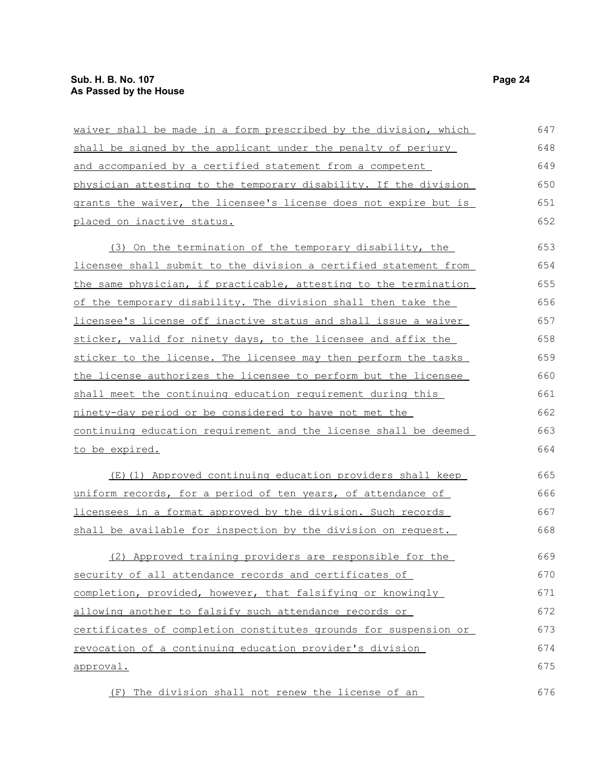| waiver shall be made in a form prescribed by the division, which | 647 |
|------------------------------------------------------------------|-----|
| shall be signed by the applicant under the penalty of perjury    | 648 |
| and accompanied by a certified statement from a competent        | 649 |
| physician attesting to the temporary disability. If the division | 650 |
| grants the waiver, the licensee's license does not expire but is | 651 |
| placed on inactive status.                                       | 652 |
| (3) On the termination of the temporary disability, the          | 653 |
| licensee shall submit to the division a certified statement from | 654 |
| the same physician, if practicable, attesting to the termination | 655 |
| of the temporary disability. The division shall then take the    | 656 |
| licensee's license off inactive status and shall issue a waiver  | 657 |
| sticker, valid for ninety days, to the licensee and affix the    | 658 |
| sticker to the license. The licensee may then perform the tasks  | 659 |
| the license authorizes the licensee to perform but the licensee  | 660 |
| shall meet the continuing education requirement during this      | 661 |
| ninety-day period or be considered to have not met the           | 662 |
| continuing education requirement and the license shall be deemed | 663 |
| to be expired.                                                   | 664 |
| (E)(1) Approved continuing education providers shall keep        | 665 |
| uniform records, for a period of ten years, of attendance of     | 666 |
| licensees in a format approved by the division. Such records     | 667 |
| shall be available for inspection by the division on request.    | 668 |
| (2) Approved training providers are responsible for the          | 669 |
| security of all attendance records and certificates of           | 670 |
| completion, provided, however, that falsifying or knowingly      | 671 |
| allowing another to falsify such attendance records or           | 672 |
| certificates of completion constitutes grounds for suspension or | 673 |
| revocation of a continuing education provider's division         | 674 |
| <u>approval.</u>                                                 | 675 |
| The division shall not renew the license of an<br>(F)            | 676 |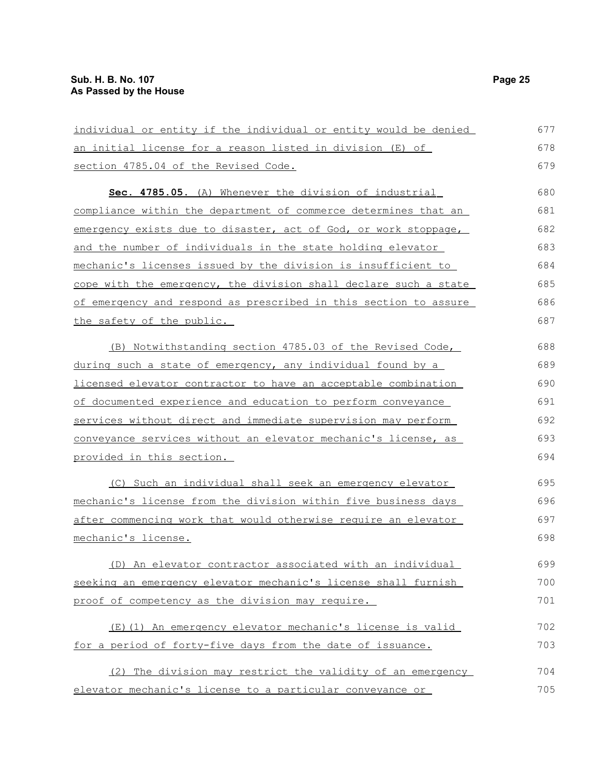| individual or entity if the individual or entity would be denied | 677 |
|------------------------------------------------------------------|-----|
| <u>an initial license for a reason listed in division (E) of</u> | 678 |
| section 4785.04 of the Revised Code.                             | 679 |
| Sec. 4785.05. (A) Whenever the division of industrial            | 680 |
| compliance within the department of commerce determines that an  | 681 |
| emergency exists due to disaster, act of God, or work stoppage,  | 682 |
| and the number of individuals in the state holding elevator      | 683 |
| mechanic's licenses issued by the division is insufficient to    | 684 |
| cope with the emergency, the division shall declare such a state | 685 |
| of emergency and respond as prescribed in this section to assure | 686 |
| the safety of the public.                                        | 687 |
| (B) Notwithstanding section 4785.03 of the Revised Code,         | 688 |
| during such a state of emergency, any individual found by a      | 689 |
| licensed elevator contractor to have an acceptable combination   | 690 |
| of documented experience and education to perform conveyance     | 691 |
| services without direct and immediate supervision may perform    | 692 |
| conveyance services without an elevator mechanic's license, as   | 693 |
| provided in this section.                                        | 694 |
| (C) Such an individual shall seek an emergency elevator          | 695 |
| mechanic's license from the division within five business days   | 696 |
| after commencing work that would otherwise require an elevator   | 697 |
| mechanic's license.                                              | 698 |
| (D) An elevator contractor associated with an individual         | 699 |
| seeking an emergency elevator mechanic's license shall furnish   | 700 |
| proof of competency as the division may require.                 | 701 |
| (E)(1) An emergency elevator mechanic's license is valid         | 702 |
| for a period of forty-five days from the date of issuance.       | 703 |
| (2) The division may restrict the validity of an emergency       | 704 |
| elevator mechanic's license to a particular conveyance or        | 705 |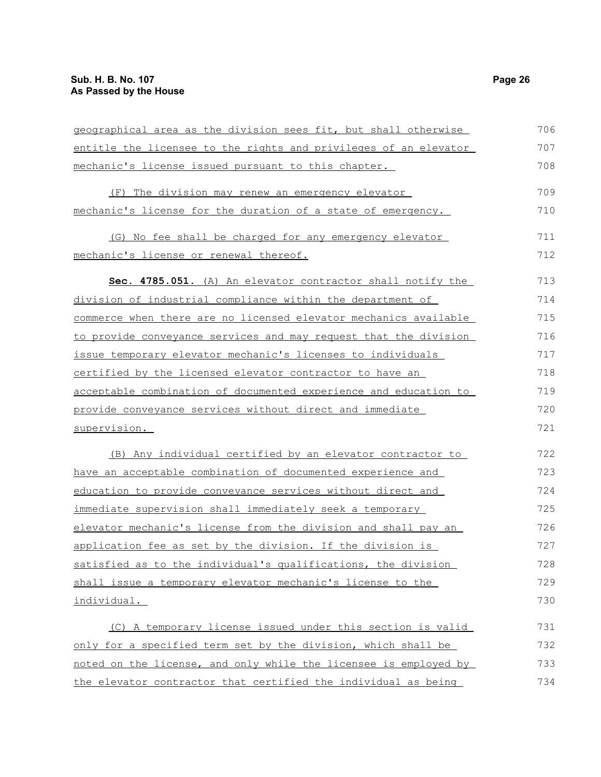| geographical area as the division sees fit, but shall otherwise  | 706 |
|------------------------------------------------------------------|-----|
| entitle the licensee to the rights and privileges of an elevator | 707 |
| mechanic's license issued pursuant to this chapter.              | 708 |
| (F) The division may renew an emergency elevator                 | 709 |
| mechanic's license for the duration of a state of emergency.     | 710 |
| (G) No fee shall be charged for any emergency elevator           | 711 |
| mechanic's license or renewal thereof.                           | 712 |
| Sec. 4785.051. (A) An elevator contractor shall notify the       | 713 |
| division of industrial compliance within the department of       | 714 |
| commerce when there are no licensed elevator mechanics available | 715 |
| to provide conveyance services and may request that the division | 716 |
| issue temporary elevator mechanic's licenses to individuals      | 717 |
| certified by the licensed elevator contractor to have an         | 718 |
| acceptable combination of documented experience and education to | 719 |
| provide conveyance services without direct and immediate         | 720 |
| supervision.                                                     | 721 |
| (B) Any individual certified by an elevator contractor to        | 722 |
| have an acceptable combination of documented experience and      | 723 |
| education to provide conveyance services without direct and      | 724 |
| immediate supervision shall immediately seek a temporary         | 725 |
| elevator mechanic's license from the division and shall pay an   | 726 |
| application fee as set by the division. If the division is       | 727 |
| satisfied as to the individual's qualifications, the division    | 728 |
| shall issue a temporary elevator mechanic's license to the       | 729 |
| individual.                                                      | 730 |
| (C) A temporary license issued under this section is valid       | 731 |
| only for a specified term set by the division, which shall be    | 732 |
| noted on the license, and only while the licensee is employed by | 733 |
| the elevator contractor that certified the individual as being   | 734 |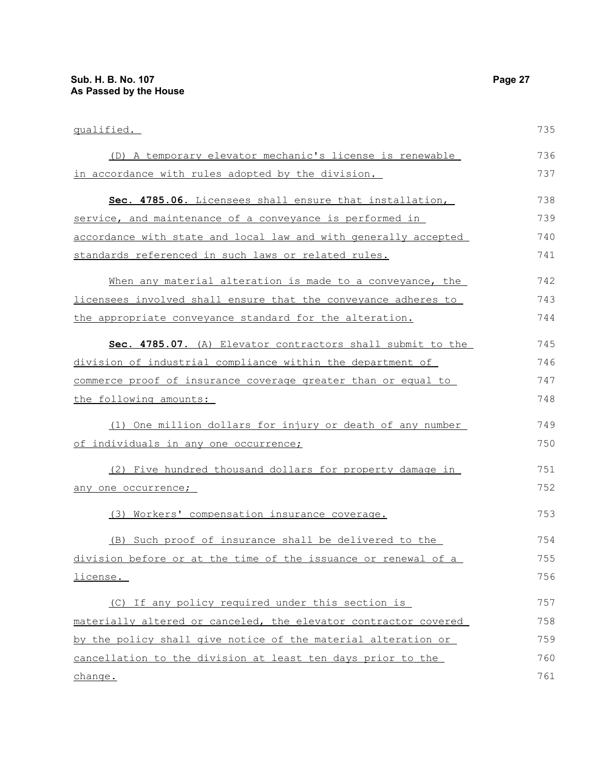change.

qualified. (D) A temporary elevator mechanic's license is renewable in accordance with rules adopted by the division. **Sec. 4785.06.** Licensees shall ensure that installation, service, and maintenance of a conveyance is performed in accordance with state and local law and with generally accepted standards referenced in such laws or related rules. When any material alteration is made to a conveyance, the licensees involved shall ensure that the conveyance adheres to the appropriate conveyance standard for the alteration. **Sec. 4785.07.** (A) Elevator contractors shall submit to the division of industrial compliance within the department of commerce proof of insurance coverage greater than or equal to the following amounts: (1) One million dollars for injury or death of any number of individuals in any one occurrence; (2) Five hundred thousand dollars for property damage in any one occurrence; (3) Workers' compensation insurance coverage. (B) Such proof of insurance shall be delivered to the division before or at the time of the issuance or renewal of a license. (C) If any policy required under this section is materially altered or canceled, the elevator contractor covered by the policy shall give notice of the material alteration or cancellation to the division at least ten days prior to the 735 736 737 738 739 740 741 742 743 744 745 746 747 748 749 750 751 752 753 754 755 756 757 758 759 760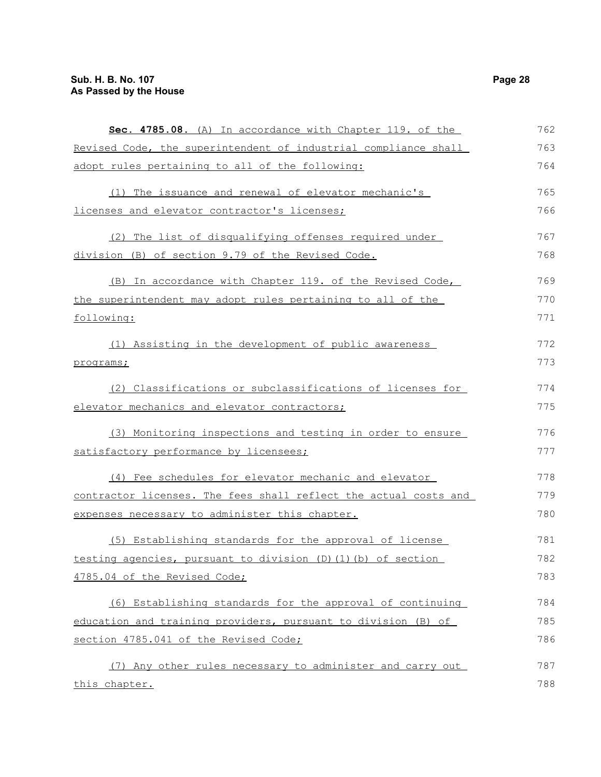| Sec. 4785.08. (A) In accordance with Chapter 119. of the         | 762 |
|------------------------------------------------------------------|-----|
| Revised Code, the superintendent of industrial compliance shall  | 763 |
| adopt rules pertaining to all of the following:                  | 764 |
| (1) The issuance and renewal of elevator mechanic's              | 765 |
| licenses and elevator contractor's licenses;                     | 766 |
| (2) The list of disqualifying offenses required under            | 767 |
| division (B) of section 9.79 of the Revised Code.                | 768 |
| (B) In accordance with Chapter 119. of the Revised Code,         | 769 |
| the superintendent may adopt rules pertaining to all of the      | 770 |
| following:                                                       | 771 |
| (1) Assisting in the development of public awareness             | 772 |
| programs;                                                        | 773 |
| (2) Classifications or subclassifications of licenses for        | 774 |
| elevator mechanics and elevator contractors;                     | 775 |
| (3) Monitoring inspections and testing in order to ensure        | 776 |
| satisfactory performance by licensees;                           | 777 |
| (4) Fee schedules for elevator mechanic and elevator             | 778 |
| contractor licenses. The fees shall reflect the actual costs and | 779 |
| expenses necessary to administer this chapter.                   | 780 |
| (5) Establishing standards for the approval of license           | 781 |
| testing agencies, pursuant to division (D)(1)(b) of section      | 782 |
| 4785.04 of the Revised Code;                                     | 783 |
| (6) Establishing standards for the approval of continuing        | 784 |
| education and training providers, pursuant to division (B) of    | 785 |
| section 4785.041 of the Revised Code;                            | 786 |
| (7) Any other rules necessary to administer and carry out        | 787 |
| this chapter.                                                    | 788 |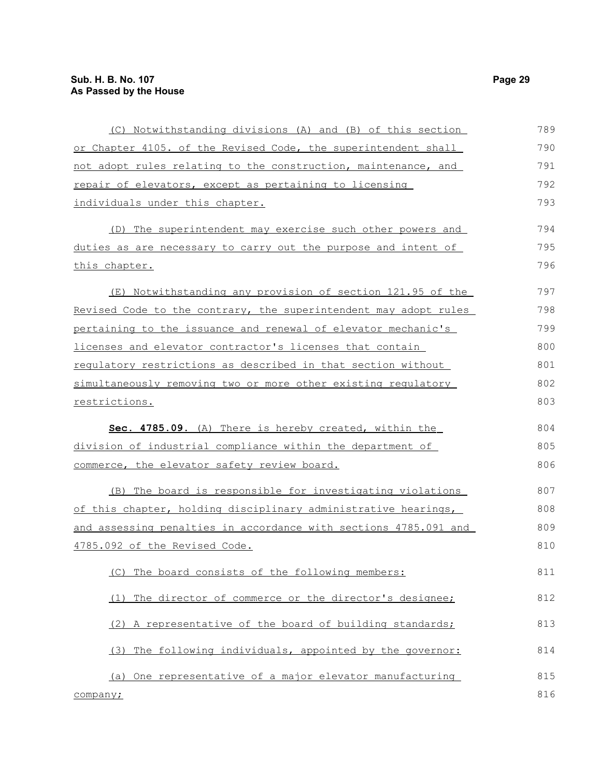| (C) Notwithstanding divisions (A) and (B) of this section        | 789 |
|------------------------------------------------------------------|-----|
| or Chapter 4105. of the Revised Code, the superintendent shall   | 790 |
| not adopt rules relating to the construction, maintenance, and   | 791 |
| repair of elevators, except as pertaining to licensing           | 792 |
| individuals under this chapter.                                  | 793 |
| (D) The superintendent may exercise such other powers and        | 794 |
| duties as are necessary to carry out the purpose and intent of   | 795 |
| this chapter.                                                    | 796 |
| (E) Notwithstanding any provision of section 121.95 of the       | 797 |
| Revised Code to the contrary, the superintendent may adopt rules | 798 |
| pertaining to the issuance and renewal of elevator mechanic's    | 799 |
| licenses and elevator contractor's licenses that contain         | 800 |
| requlatory restrictions as described in that section without     | 801 |
| simultaneously removing two or more other existing regulatory    | 802 |
| restrictions.                                                    | 803 |
| Sec. 4785.09. (A) There is hereby created, within the            | 804 |
| division of industrial compliance within the department of       | 805 |
| commerce, the elevator safety review board.                      | 806 |
| (B) The board is responsible for investigating violations        | 807 |
| of this chapter, holding disciplinary administrative hearings,   | 808 |
| and assessing penalties in accordance with sections 4785.091 and | 809 |
| 4785.092 of the Revised Code.                                    | 810 |
| The board consists of the following members:<br>(C)              | 811 |
| The director of commerce or the director's designee;<br>(1)      | 812 |
| (2) A representative of the board of building standards;         | 813 |
| (3) The following individuals, appointed by the governor:        | 814 |
| (a) One representative of a major elevator manufacturing         | 815 |
| company;                                                         | 816 |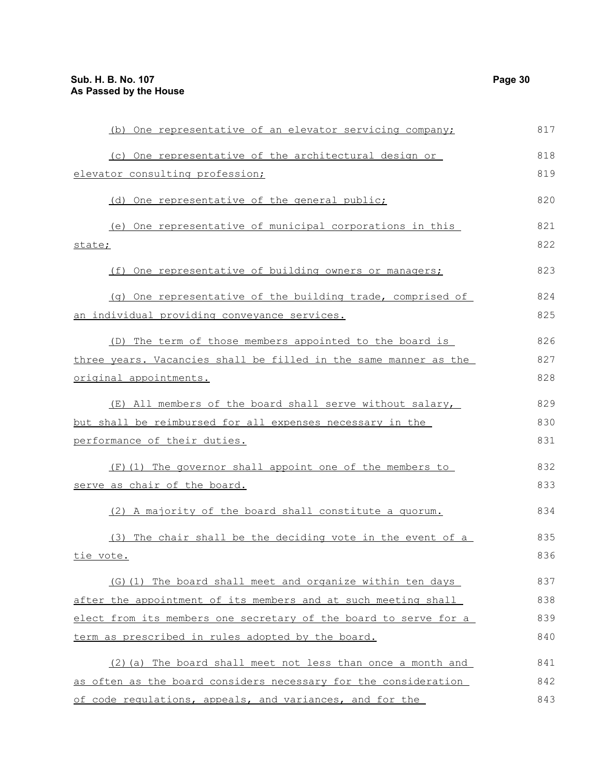| (b) One representative of an elevator servicing company;         | 817 |
|------------------------------------------------------------------|-----|
| (c) One representative of the architectural design or            | 818 |
| elevator consulting profession;                                  | 819 |
| (d) One representative of the general public;                    | 820 |
| (e) One representative of municipal corporations in this         | 821 |
| state;                                                           | 822 |
| (f) One representative of building owners or managers;           | 823 |
| (q) One representative of the building trade, comprised of       | 824 |
| an individual providing conveyance services.                     | 825 |
| (D) The term of those members appointed to the board is          | 826 |
| three years. Vacancies shall be filled in the same manner as the | 827 |
| original appointments.                                           | 828 |
| (E) All members of the board shall serve without salary,         | 829 |
| but shall be reimbursed for all expenses necessary in the        | 830 |
| performance of their duties.                                     | 831 |
| (F)(1) The governor shall appoint one of the members to          | 832 |
| serve as chair of the board.                                     | 833 |
| (2) A majority of the board shall constitute a quorum.           | 834 |
| (3) The chair shall be the deciding vote in the event of a       | 835 |
| tie vote.                                                        | 836 |
| (G) (1) The board shall meet and organize within ten days        | 837 |
| after the appointment of its members and at such meeting shall   | 838 |
| elect from its members one secretary of the board to serve for a | 839 |
| term as prescribed in rules adopted by the board.                | 840 |
| (2) (a) The board shall meet not less than once a month and      | 841 |
| as often as the board considers necessary for the consideration  | 842 |
| of code regulations, appeals, and variances, and for the         | 843 |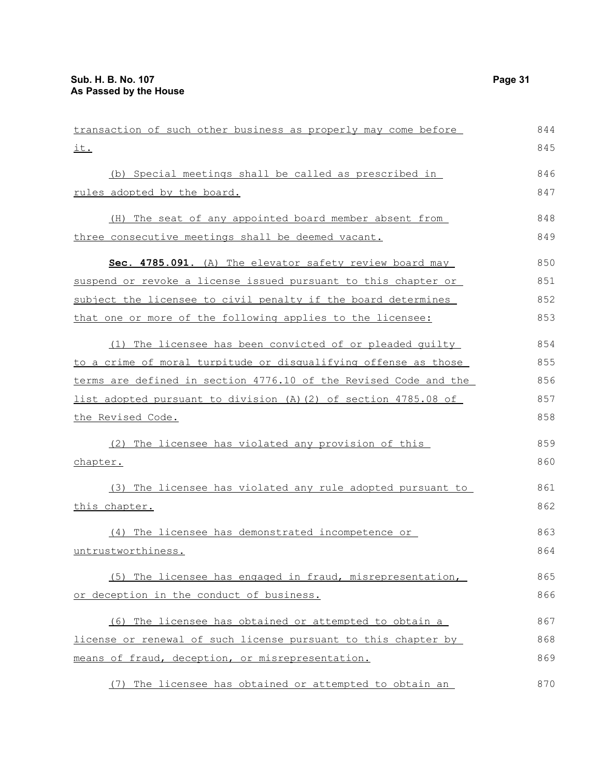| transaction of such other business as properly may come before   | 844 |
|------------------------------------------------------------------|-----|
| <u>it.</u>                                                       | 845 |
| (b) Special meetings shall be called as prescribed in            | 846 |
| rules adopted by the board.                                      | 847 |
| (H) The seat of any appointed board member absent from           | 848 |
| three consecutive meetings shall be deemed vacant.               | 849 |
| Sec. 4785.091. (A) The elevator safety review board may          | 850 |
| suspend or revoke a license issued pursuant to this chapter or   | 851 |
| subject the licensee to civil penalty if the board determines    | 852 |
| that one or more of the following applies to the licensee:       | 853 |
| (1) The licensee has been convicted of or pleaded quilty         | 854 |
| to a crime of moral turpitude or disqualifying offense as those  | 855 |
| terms are defined in section 4776.10 of the Revised Code and the | 856 |
| list adopted pursuant to division (A) (2) of section 4785.08 of  | 857 |
| the Revised Code.                                                | 858 |
| (2) The licensee has violated any provision of this              | 859 |
| chapter.                                                         | 860 |
| (3) The licensee has violated any rule adopted pursuant to       | 861 |
| <u>this chapter.</u>                                             | 862 |
| (4) The licensee has demonstrated incompetence or                | 863 |
| untrustworthiness.                                               | 864 |
| (5) The licensee has engaged in fraud, misrepresentation,        | 865 |
| or deception in the conduct of business.                         | 866 |
| (6) The licensee has obtained or attempted to obtain a           | 867 |
| license or renewal of such license pursuant to this chapter by   | 868 |
| means of fraud, deception, or misrepresentation.                 | 869 |
| The licensee has obtained or attempted to obtain an<br>(7)       | 870 |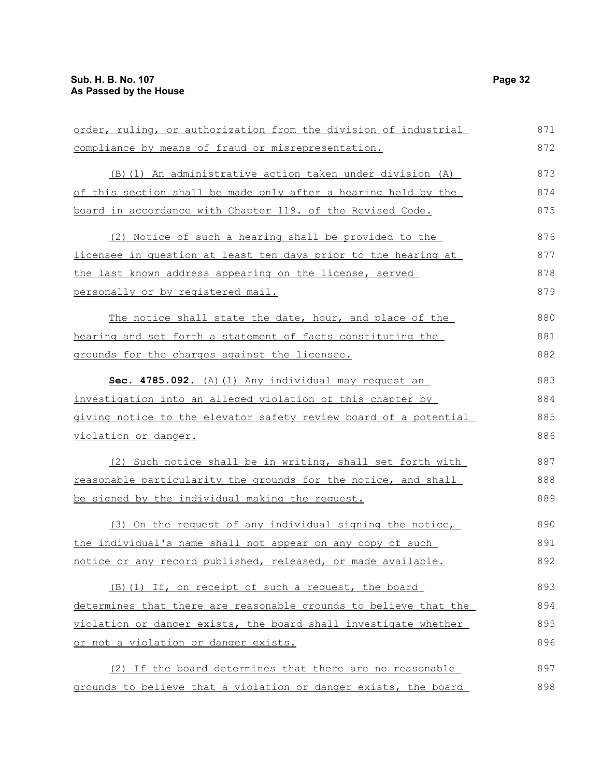| order, ruling, or authorization from the division of industrial  | 871 |
|------------------------------------------------------------------|-----|
| compliance by means of fraud or misrepresentation.               | 872 |
| (B) (1) An administrative action taken under division (A)        | 873 |
| of this section shall be made only after a hearing held by the   | 874 |
| board in accordance with Chapter 119. of the Revised Code.       | 875 |
| (2) Notice of such a hearing shall be provided to the            | 876 |
| licensee in question at least ten days prior to the hearing at   | 877 |
| the last known address appearing on the license, served          | 878 |
| personally or by registered mail.                                | 879 |
| The notice shall state the date, hour, and place of the          | 880 |
| hearing and set forth a statement of facts constituting the      | 881 |
| grounds for the charges against the licensee.                    | 882 |
| Sec. 4785.092. (A) (1) Any individual may request an             | 883 |
| investigation into an alleged violation of this chapter by       | 884 |
| giving notice to the elevator safety review board of a potential | 885 |
| violation or danger.                                             | 886 |
| (2) Such notice shall be in writing, shall set forth with        | 887 |
| reasonable particularity the grounds for the notice, and shall   | 888 |
| be signed by the individual making the request.                  | 889 |
| (3) On the request of any individual signing the notice,         | 890 |
| the individual's name shall not appear on any copy of such       | 891 |
| notice or any record published, released, or made available.     | 892 |
| (B) (1) If, on receipt of such a request, the board              | 893 |
|                                                                  |     |
| determines that there are reasonable grounds to believe that the | 894 |
| violation or danger exists, the board shall investigate whether  | 895 |
| or not a violation or danger exists.                             | 896 |
| (2) If the board determines that there are no reasonable         | 897 |